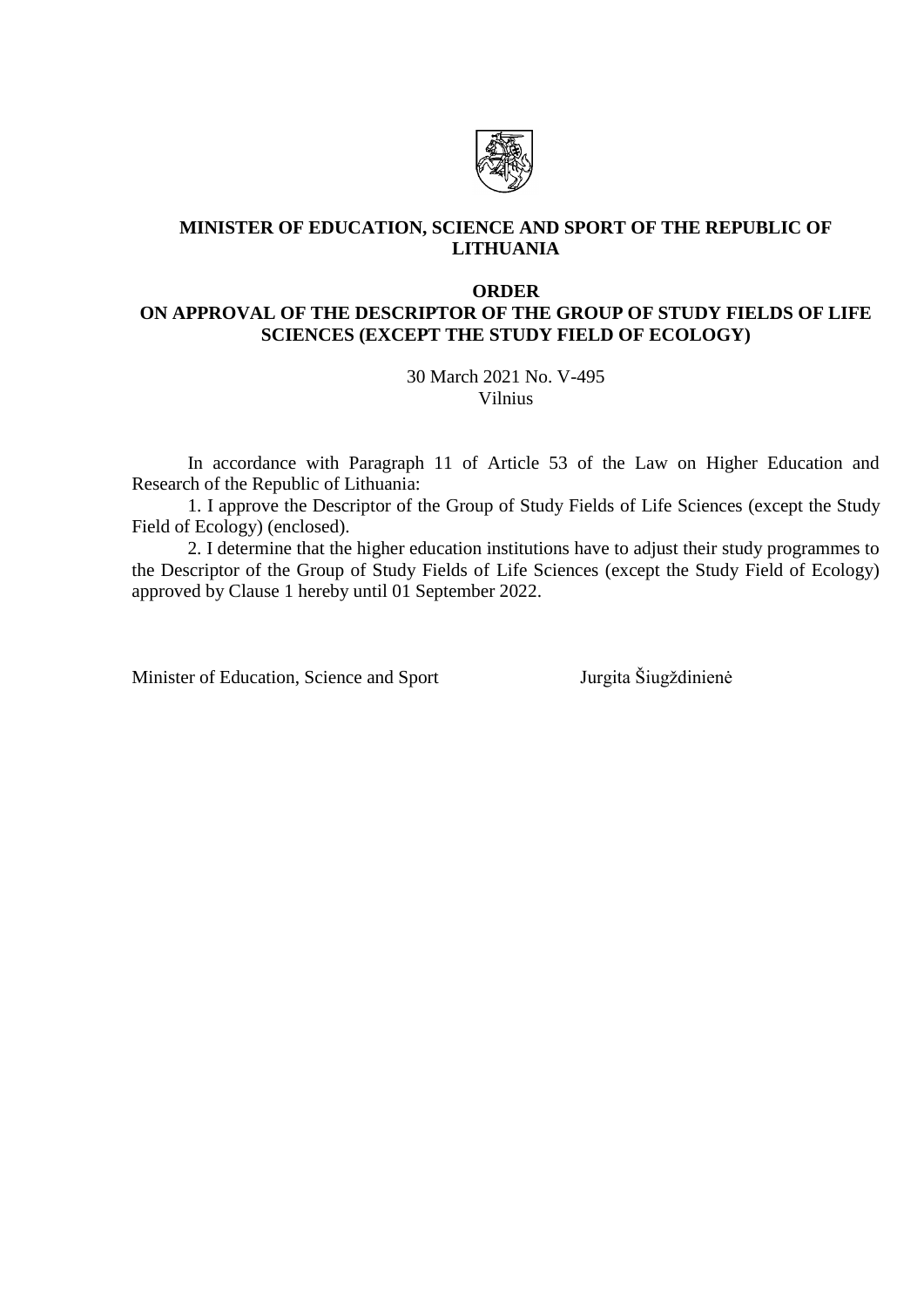

## **MINISTER OF EDUCATION, SCIENCE AND SPORT OF THE REPUBLIC OF LITHUANIA**

#### **ORDER**

# **ON APPROVAL OF THE DESCRIPTOR OF THE GROUP OF STUDY FIELDS OF LIFE SCIENCES (EXCEPT THE STUDY FIELD OF ECOLOGY)**

30 March 2021 No. V-495 Vilnius

In accordance with Paragraph 11 of Article 53 of the Law on Higher Education and Research of the Republic of Lithuania:

1. I approve the Descriptor of the Group of Study Fields of Life Sciences (except the Study Field of Ecology) (enclosed).

2. I determine that the higher education institutions have to adjust their study programmes to the Descriptor of the Group of Study Fields of Life Sciences (except the Study Field of Ecology) approved by Clause 1 hereby until 01 September 2022.

Minister of Education, Science and Sport Jurgita Šiugždinienė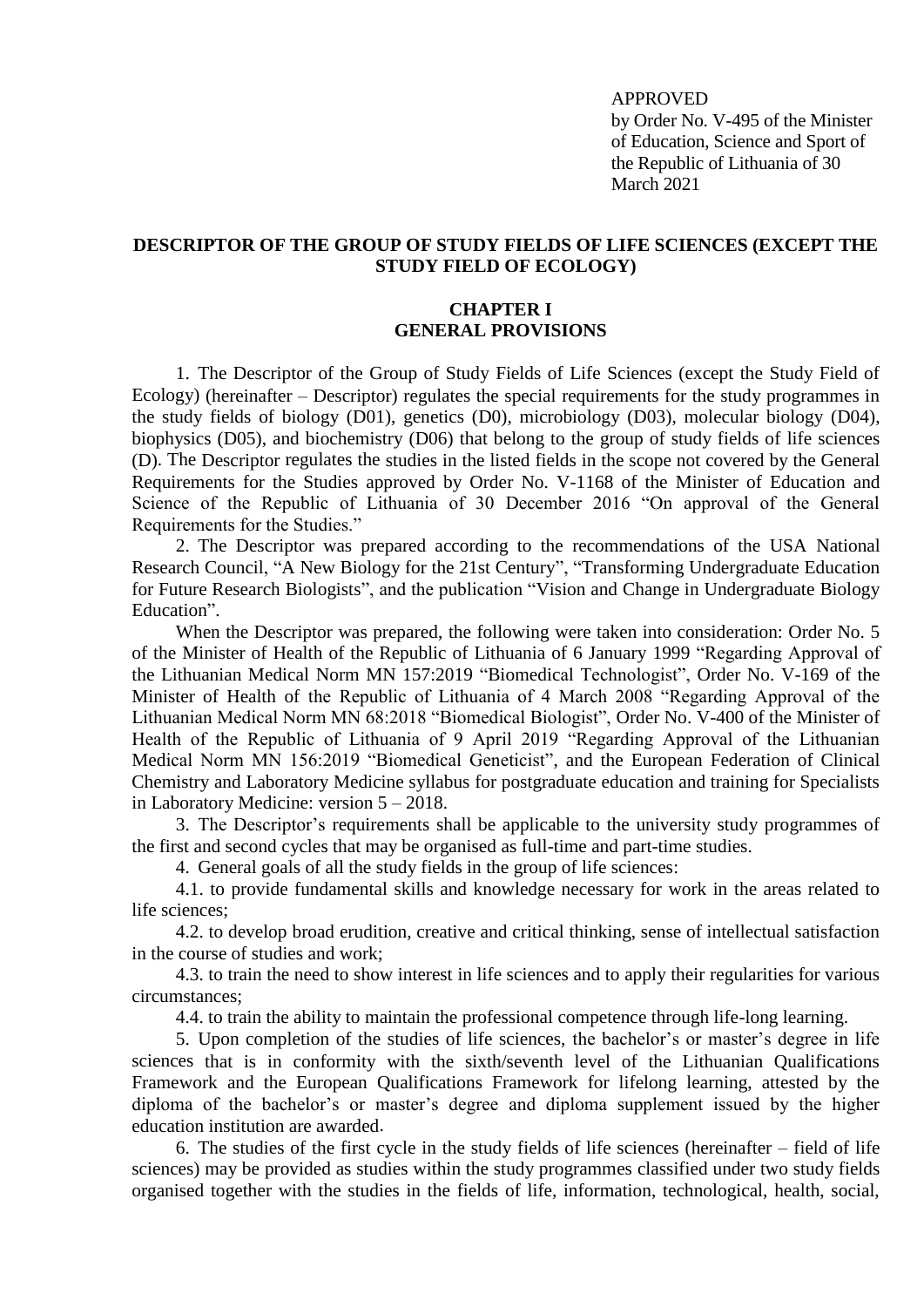### APPROVED

by Order No. V-495 of the Minister of Education, Science and Sport of the Republic of Lithuania of 30 March 2021

## **DESCRIPTOR OF THE GROUP OF STUDY FIELDS OF LIFE SCIENCES (EXCEPT THE STUDY FIELD OF ECOLOGY)**

## **CHAPTER I GENERAL PROVISIONS**

1. The Descriptor of the Group of Study Fields of Life Sciences (except the Study Field of Ecology) (hereinafter – Descriptor) regulates the special requirements for the study programmes in the study fields of biology (D01), genetics (D0), microbiology (D03), molecular biology (D04), biophysics (D05), and biochemistry (D06) that belong to the group of study fields of life sciences (D). The Descriptor regulates the studies in the listed fields in the scope not covered by the General Requirements for the Studies approved by Order No. V-1168 of the Minister of Education and Science of the Republic of Lithuania of 30 December 2016 "On approval of the General Requirements for the Studies."

2. The Descriptor was prepared according to the recommendations of the USA National Research Council, "A New Biology for the 21st Century", "Transforming Undergraduate Education for Future Research Biologists", and the publication "Vision and Change in Undergraduate Biology Education".

When the Descriptor was prepared, the following were taken into consideration: Order No. 5 of the Minister of Health of the Republic of Lithuania of 6 January 1999 "Regarding Approval of the Lithuanian Medical Norm MN 157:2019 "Biomedical Technologist", Order No. V-169 of the Minister of Health of the Republic of Lithuania of 4 March 2008 "Regarding Approval of the Lithuanian Medical Norm MN 68:2018 "Biomedical Biologist", Order No. V-400 of the Minister of Health of the Republic of Lithuania of 9 April 2019 "Regarding Approval of the Lithuanian Medical Norm MN 156:2019 "Biomedical Geneticist", and the European Federation of Clinical Chemistry and Laboratory Medicine syllabus for postgraduate education and training for Specialists in Laboratory Medicine: version 5 – 2018.

3. The Descriptor's requirements shall be applicable to the university study programmes of the first and second cycles that may be organised as full-time and part-time studies.

4. General goals of all the study fields in the group of life sciences:

4.1. to provide fundamental skills and knowledge necessary for work in the areas related to life sciences;

4.2. to develop broad erudition, creative and critical thinking, sense of intellectual satisfaction in the course of studies and work;

4.3. to train the need to show interest in life sciences and to apply their regularities for various circumstances;

4.4. to train the ability to maintain the professional competence through life-long learning.

5. Upon completion of the studies of life sciences, the bachelor's or master's degree in life sciences that is in conformity with the sixth/seventh level of the Lithuanian Qualifications Framework and the European Qualifications Framework for lifelong learning, attested by the diploma of the bachelor's or master's degree and diploma supplement issued by the higher education institution are awarded.

6. The studies of the first cycle in the study fields of life sciences (hereinafter – field of life sciences) may be provided as studies within the study programmes classified under two study fields organised together with the studies in the fields of life, information, technological, health, social,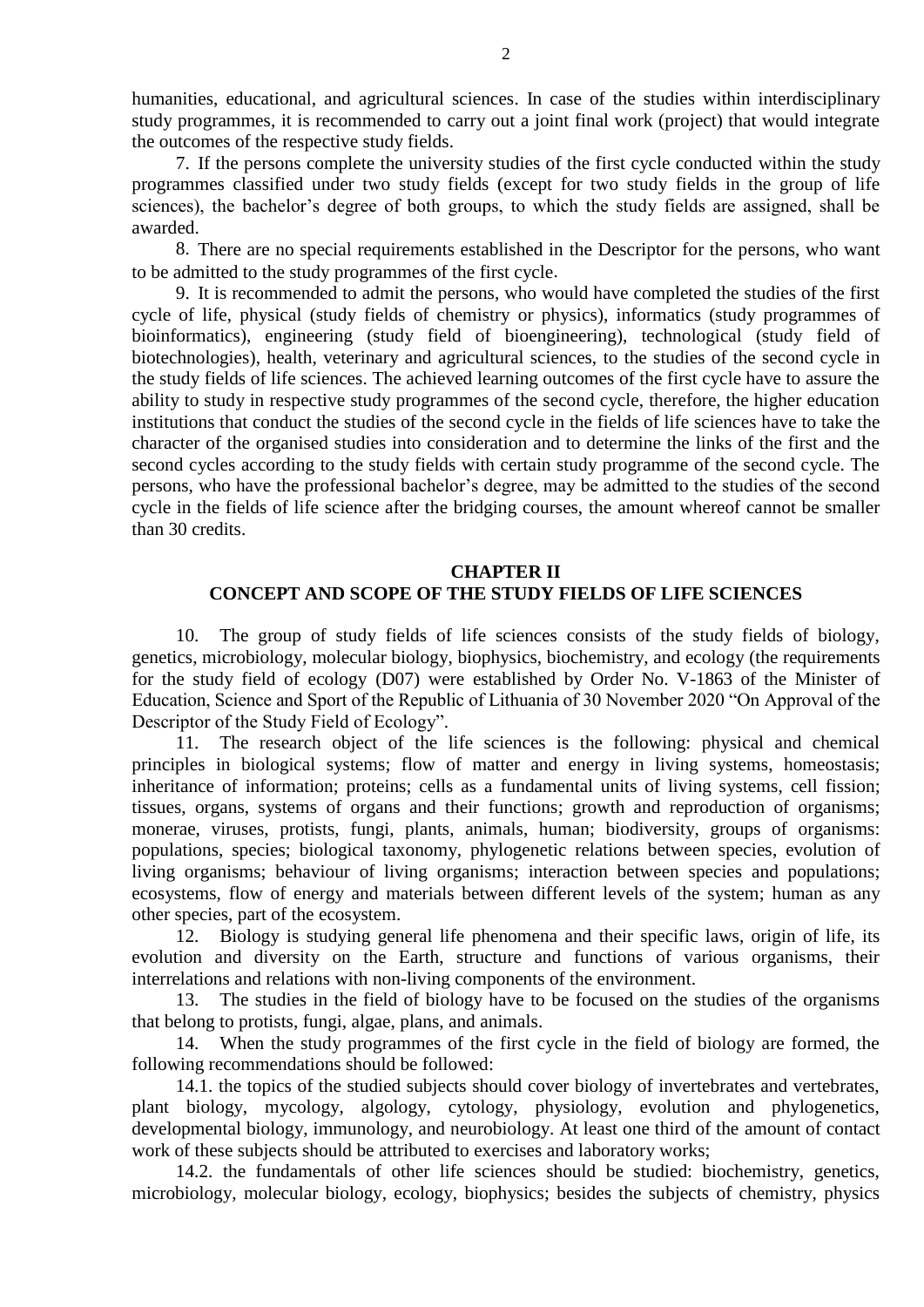humanities, educational, and agricultural sciences. In case of the studies within interdisciplinary study programmes, it is recommended to carry out a joint final work (project) that would integrate the outcomes of the respective study fields.

7. If the persons complete the university studies of the first cycle conducted within the study programmes classified under two study fields (except for two study fields in the group of life sciences), the bachelor's degree of both groups, to which the study fields are assigned, shall be awarded.

8. There are no special requirements established in the Descriptor for the persons, who want to be admitted to the study programmes of the first cycle.

9. It is recommended to admit the persons, who would have completed the studies of the first cycle of life, physical (study fields of chemistry or physics), informatics (study programmes of bioinformatics), engineering (study field of bioengineering), technological (study field of biotechnologies), health, veterinary and agricultural sciences, to the studies of the second cycle in the study fields of life sciences. The achieved learning outcomes of the first cycle have to assure the ability to study in respective study programmes of the second cycle, therefore, the higher education institutions that conduct the studies of the second cycle in the fields of life sciences have to take the character of the organised studies into consideration and to determine the links of the first and the second cycles according to the study fields with certain study programme of the second cycle. The persons, who have the professional bachelor's degree, may be admitted to the studies of the second cycle in the fields of life science after the bridging courses, the amount whereof cannot be smaller than 30 credits.

#### **CHAPTER II**

# **CONCEPT AND SCOPE OF THE STUDY FIELDS OF LIFE SCIENCES**

10. The group of study fields of life sciences consists of the study fields of biology, genetics, microbiology, molecular biology, biophysics, biochemistry, and ecology (the requirements for the study field of ecology (D07) were established by Order No. V-1863 of the Minister of Education, Science and Sport of the Republic of Lithuania of 30 November 2020 "On Approval of the Descriptor of the Study Field of Ecology".

11. The research object of the life sciences is the following: physical and chemical principles in biological systems; flow of matter and energy in living systems, homeostasis; inheritance of information; proteins; cells as a fundamental units of living systems, cell fission; tissues, organs, systems of organs and their functions; growth and reproduction of organisms; monerae, viruses, protists, fungi, plants, animals, human; biodiversity, groups of organisms: populations, species; biological taxonomy, phylogenetic relations between species, evolution of living organisms; behaviour of living organisms; interaction between species and populations; ecosystems, flow of energy and materials between different levels of the system; human as any other species, part of the ecosystem.

12. Biology is studying general life phenomena and their specific laws, origin of life, its evolution and diversity on the Earth, structure and functions of various organisms, their interrelations and relations with non-living components of the environment.

13. The studies in the field of biology have to be focused on the studies of the organisms that belong to protists, fungi, algae, plans, and animals.

14. When the study programmes of the first cycle in the field of biology are formed, the following recommendations should be followed:

14.1. the topics of the studied subjects should cover biology of invertebrates and vertebrates, plant biology, mycology, algology, cytology, physiology, evolution and phylogenetics, developmental biology, immunology, and neurobiology. At least one third of the amount of contact work of these subjects should be attributed to exercises and laboratory works;

14.2. the fundamentals of other life sciences should be studied: biochemistry, genetics, microbiology, molecular biology, ecology, biophysics; besides the subjects of chemistry, physics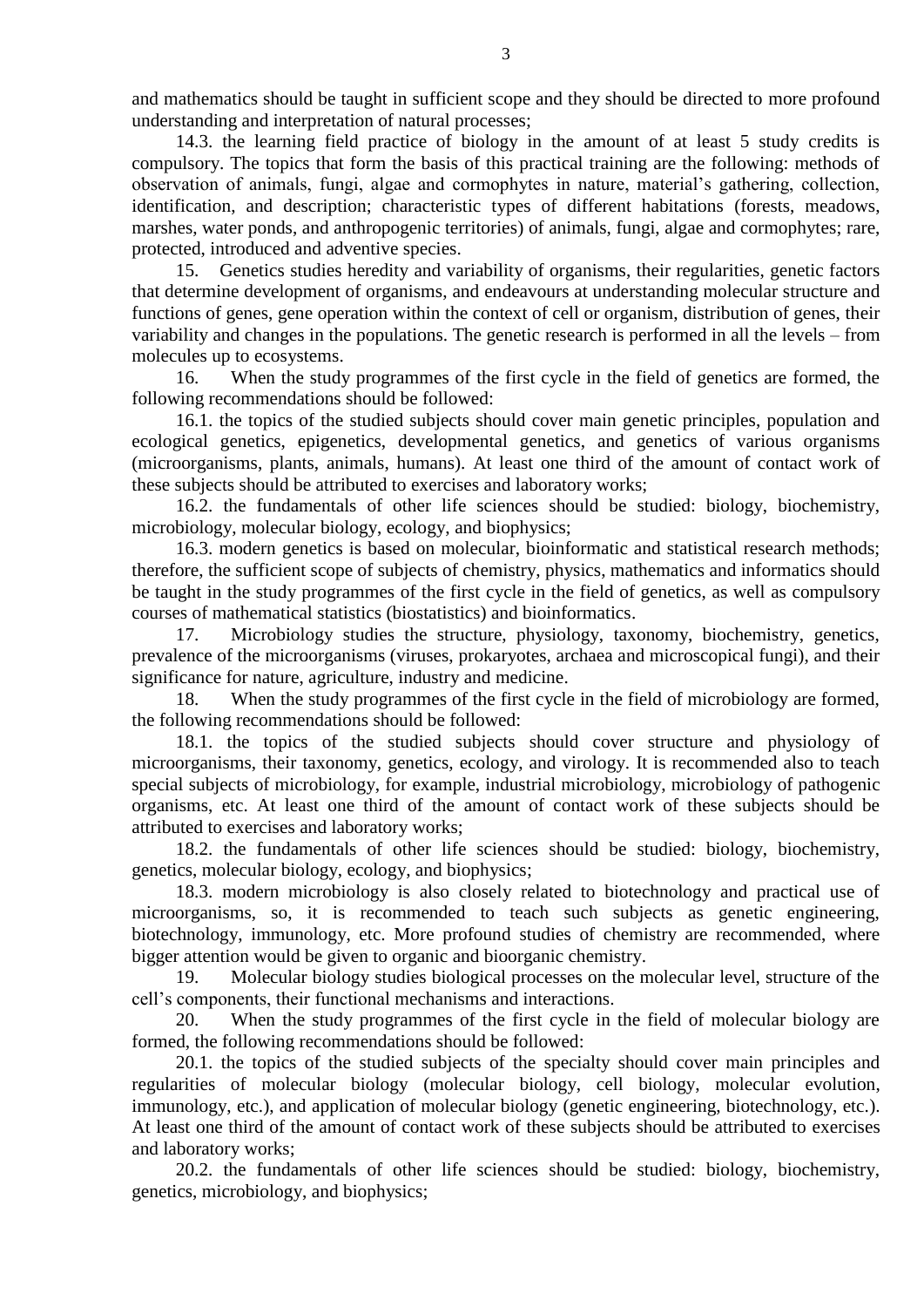and mathematics should be taught in sufficient scope and they should be directed to more profound understanding and interpretation of natural processes;

14.3. the learning field practice of biology in the amount of at least 5 study credits is compulsory. The topics that form the basis of this practical training are the following: methods of observation of animals, fungi, algae and cormophytes in nature, material's gathering, collection, identification, and description; characteristic types of different habitations (forests, meadows, marshes, water ponds, and anthropogenic territories) of animals, fungi, algae and cormophytes; rare, protected, introduced and adventive species.

15. Genetics studies heredity and variability of organisms, their regularities, genetic factors that determine development of organisms, and endeavours at understanding molecular structure and functions of genes, gene operation within the context of cell or organism, distribution of genes, their variability and changes in the populations. The genetic research is performed in all the levels – from molecules up to ecosystems.

16. When the study programmes of the first cycle in the field of genetics are formed, the following recommendations should be followed:

16.1. the topics of the studied subjects should cover main genetic principles, population and ecological genetics, epigenetics, developmental genetics, and genetics of various organisms (microorganisms, plants, animals, humans). At least one third of the amount of contact work of these subjects should be attributed to exercises and laboratory works;

16.2. the fundamentals of other life sciences should be studied: biology, biochemistry, microbiology, molecular biology, ecology, and biophysics;

16.3. modern genetics is based on molecular, bioinformatic and statistical research methods; therefore, the sufficient scope of subjects of chemistry, physics, mathematics and informatics should be taught in the study programmes of the first cycle in the field of genetics, as well as compulsory courses of mathematical statistics (biostatistics) and bioinformatics.

17. Microbiology studies the structure, physiology, taxonomy, biochemistry, genetics, prevalence of the microorganisms (viruses, prokaryotes, archaea and microscopical fungi), and their significance for nature, agriculture, industry and medicine.

18. When the study programmes of the first cycle in the field of microbiology are formed, the following recommendations should be followed:

18.1. the topics of the studied subjects should cover structure and physiology of microorganisms, their taxonomy, genetics, ecology, and virology. It is recommended also to teach special subjects of microbiology, for example, industrial microbiology, microbiology of pathogenic organisms, etc. At least one third of the amount of contact work of these subjects should be attributed to exercises and laboratory works;

18.2. the fundamentals of other life sciences should be studied: biology, biochemistry, genetics, molecular biology, ecology, and biophysics;

18.3. modern microbiology is also closely related to biotechnology and practical use of microorganisms, so, it is recommended to teach such subjects as genetic engineering, biotechnology, immunology, etc. More profound studies of chemistry are recommended, where bigger attention would be given to organic and bioorganic chemistry.

19. Molecular biology studies biological processes on the molecular level, structure of the cell's components, their functional mechanisms and interactions.

20. When the study programmes of the first cycle in the field of molecular biology are formed, the following recommendations should be followed:

20.1. the topics of the studied subjects of the specialty should cover main principles and regularities of molecular biology (molecular biology, cell biology, molecular evolution, immunology, etc.), and application of molecular biology (genetic engineering, biotechnology, etc.). At least one third of the amount of contact work of these subjects should be attributed to exercises and laboratory works;

20.2. the fundamentals of other life sciences should be studied: biology, biochemistry, genetics, microbiology, and biophysics;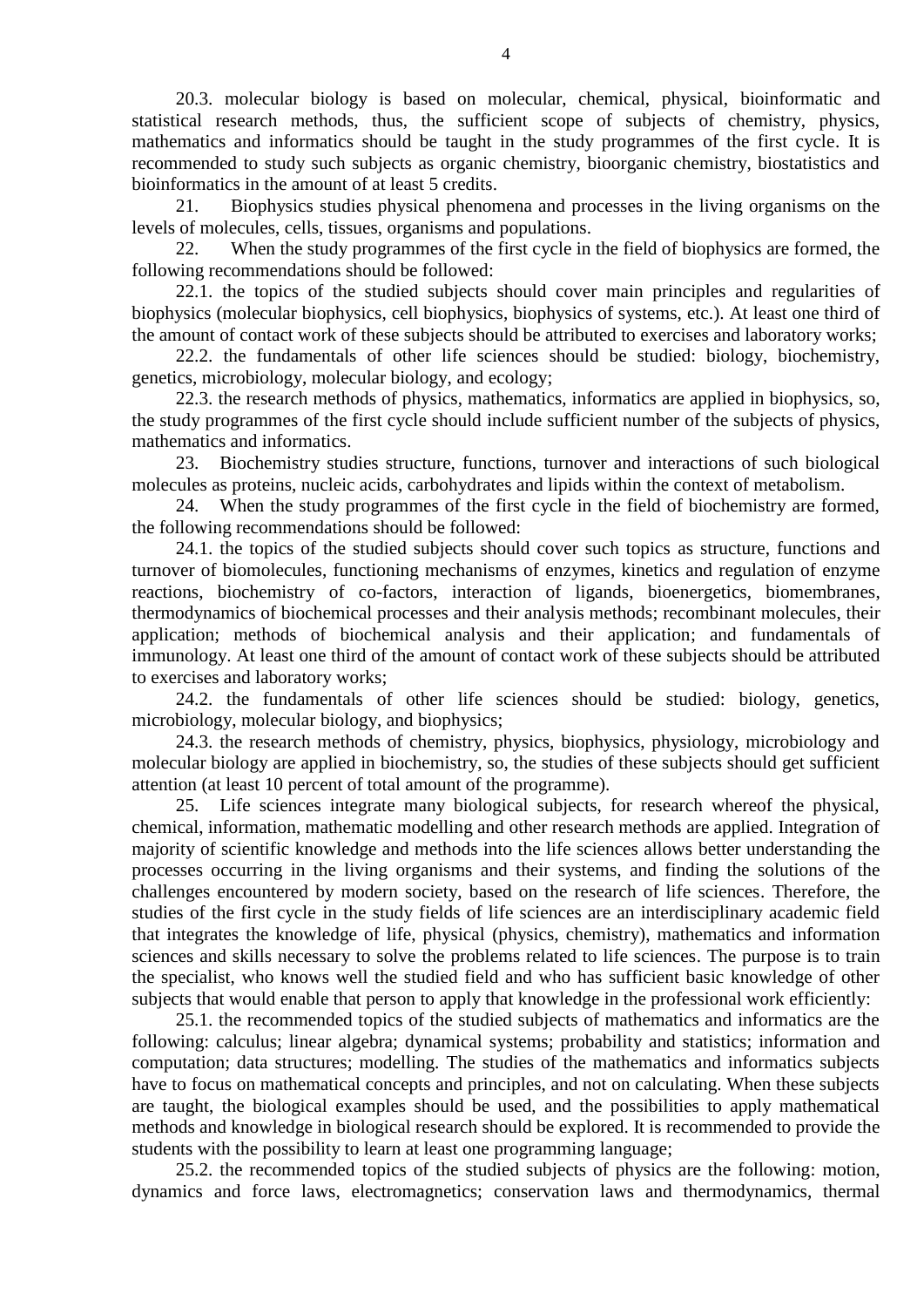20.3. molecular biology is based on molecular, chemical, physical, bioinformatic and statistical research methods, thus, the sufficient scope of subjects of chemistry, physics, mathematics and informatics should be taught in the study programmes of the first cycle. It is recommended to study such subjects as organic chemistry, bioorganic chemistry, biostatistics and bioinformatics in the amount of at least 5 credits.

21. Biophysics studies physical phenomena and processes in the living organisms on the levels of molecules, cells, tissues, organisms and populations.

22. When the study programmes of the first cycle in the field of biophysics are formed, the following recommendations should be followed:

22.1. the topics of the studied subjects should cover main principles and regularities of biophysics (molecular biophysics, cell biophysics, biophysics of systems, etc.). At least one third of the amount of contact work of these subjects should be attributed to exercises and laboratory works;

22.2. the fundamentals of other life sciences should be studied: biology, biochemistry, genetics, microbiology, molecular biology, and ecology;

22.3. the research methods of physics, mathematics, informatics are applied in biophysics, so, the study programmes of the first cycle should include sufficient number of the subjects of physics, mathematics and informatics.

23. Biochemistry studies structure, functions, turnover and interactions of such biological molecules as proteins, nucleic acids, carbohydrates and lipids within the context of metabolism.

24. When the study programmes of the first cycle in the field of biochemistry are formed, the following recommendations should be followed:

24.1. the topics of the studied subjects should cover such topics as structure, functions and turnover of biomolecules, functioning mechanisms of enzymes, kinetics and regulation of enzyme reactions, biochemistry of co-factors, interaction of ligands, bioenergetics, biomembranes, thermodynamics of biochemical processes and their analysis methods; recombinant molecules, their application; methods of biochemical analysis and their application; and fundamentals of immunology. At least one third of the amount of contact work of these subjects should be attributed to exercises and laboratory works;

24.2. the fundamentals of other life sciences should be studied: biology, genetics, microbiology, molecular biology, and biophysics;

24.3. the research methods of chemistry, physics, biophysics, physiology, microbiology and molecular biology are applied in biochemistry, so, the studies of these subjects should get sufficient attention (at least 10 percent of total amount of the programme).

25. Life sciences integrate many biological subjects, for research whereof the physical, chemical, information, mathematic modelling and other research methods are applied. Integration of majority of scientific knowledge and methods into the life sciences allows better understanding the processes occurring in the living organisms and their systems, and finding the solutions of the challenges encountered by modern society, based on the research of life sciences. Therefore, the studies of the first cycle in the study fields of life sciences are an interdisciplinary academic field that integrates the knowledge of life, physical (physics, chemistry), mathematics and information sciences and skills necessary to solve the problems related to life sciences. The purpose is to train the specialist, who knows well the studied field and who has sufficient basic knowledge of other subjects that would enable that person to apply that knowledge in the professional work efficiently:

25.1. the recommended topics of the studied subjects of mathematics and informatics are the following: calculus; linear algebra; dynamical systems; probability and statistics; information and computation; data structures; modelling. The studies of the mathematics and informatics subjects have to focus on mathematical concepts and principles, and not on calculating. When these subjects are taught, the biological examples should be used, and the possibilities to apply mathematical methods and knowledge in biological research should be explored. It is recommended to provide the students with the possibility to learn at least one programming language;

25.2. the recommended topics of the studied subjects of physics are the following: motion, dynamics and force laws, electromagnetics; conservation laws and thermodynamics, thermal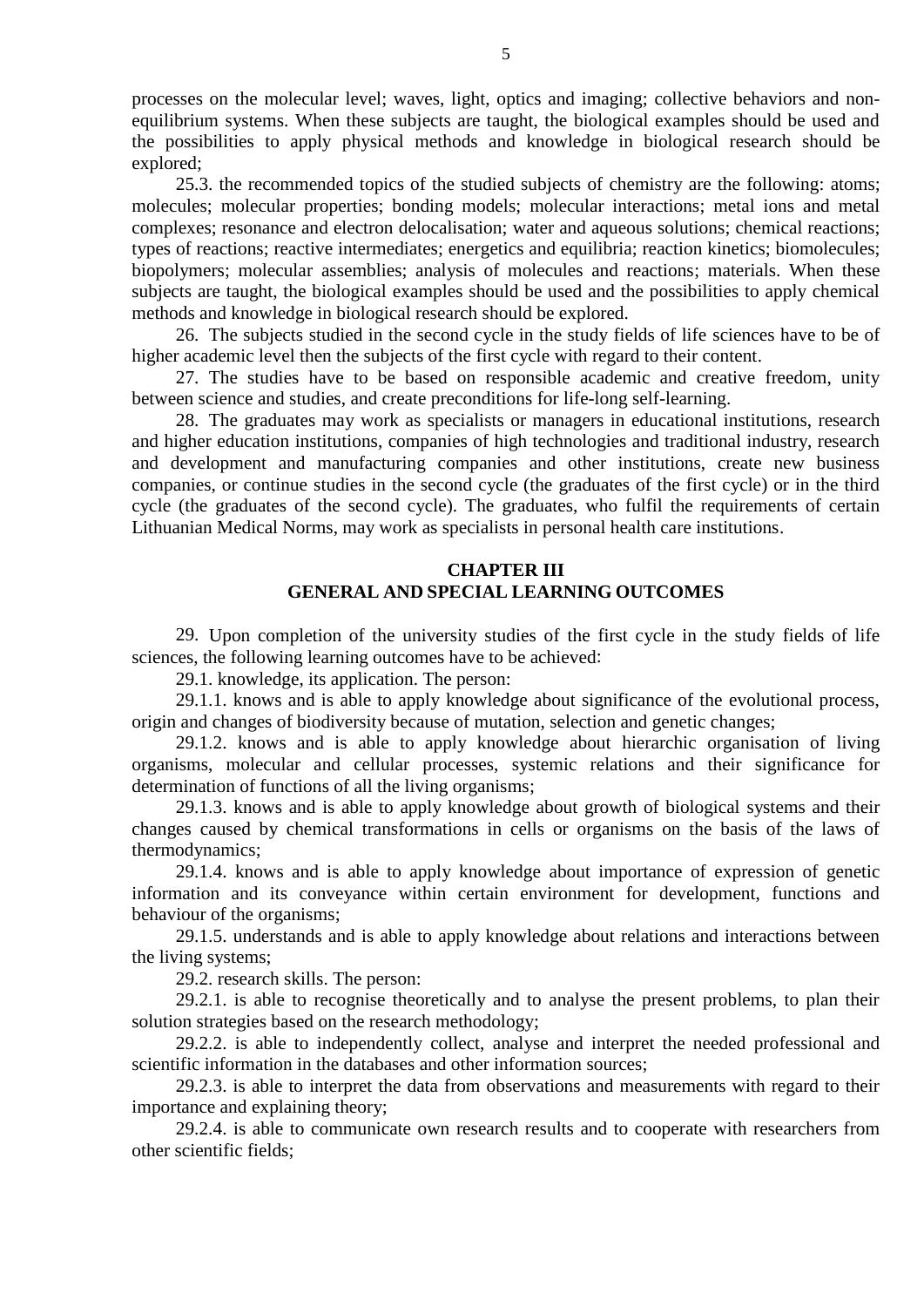processes on the molecular level; waves, light, optics and imaging; collective behaviors and nonequilibrium systems. When these subjects are taught, the biological examples should be used and the possibilities to apply physical methods and knowledge in biological research should be explored;

25.3. the recommended topics of the studied subjects of chemistry are the following: atoms; molecules; molecular properties; bonding models; molecular interactions; metal ions and metal complexes; resonance and electron delocalisation; water and aqueous solutions; chemical reactions; types of reactions; reactive intermediates; energetics and equilibria; reaction kinetics; biomolecules; biopolymers; molecular assemblies; analysis of molecules and reactions; materials. When these subjects are taught, the biological examples should be used and the possibilities to apply chemical methods and knowledge in biological research should be explored.

26. The subjects studied in the second cycle in the study fields of life sciences have to be of higher academic level then the subjects of the first cycle with regard to their content.

27. The studies have to be based on responsible academic and creative freedom, unity between science and studies, and create preconditions for life-long self-learning.

28. The graduates may work as specialists or managers in educational institutions, research and higher education institutions, companies of high technologies and traditional industry, research and development and manufacturing companies and other institutions, create new business companies, or continue studies in the second cycle (the graduates of the first cycle) or in the third cycle (the graduates of the second cycle). The graduates, who fulfil the requirements of certain Lithuanian Medical Norms, may work as specialists in personal health care institutions.

## **CHAPTER III GENERAL AND SPECIAL LEARNING OUTCOMES**

29. Upon completion of the university studies of the first cycle in the study fields of life sciences, the following learning outcomes have to be achieved:

29.1. knowledge, its application. The person:

29.1.1. knows and is able to apply knowledge about significance of the evolutional process, origin and changes of biodiversity because of mutation, selection and genetic changes;

29.1.2. knows and is able to apply knowledge about hierarchic organisation of living organisms, molecular and cellular processes, systemic relations and their significance for determination of functions of all the living organisms;

29.1.3. knows and is able to apply knowledge about growth of biological systems and their changes caused by chemical transformations in cells or organisms on the basis of the laws of thermodynamics;

29.1.4. knows and is able to apply knowledge about importance of expression of genetic information and its conveyance within certain environment for development, functions and behaviour of the organisms;

29.1.5. understands and is able to apply knowledge about relations and interactions between the living systems;

29.2. research skills. The person:

29.2.1. is able to recognise theoretically and to analyse the present problems, to plan their solution strategies based on the research methodology;

29.2.2. is able to independently collect, analyse and interpret the needed professional and scientific information in the databases and other information sources;

29.2.3. is able to interpret the data from observations and measurements with regard to their importance and explaining theory;

29.2.4. is able to communicate own research results and to cooperate with researchers from other scientific fields;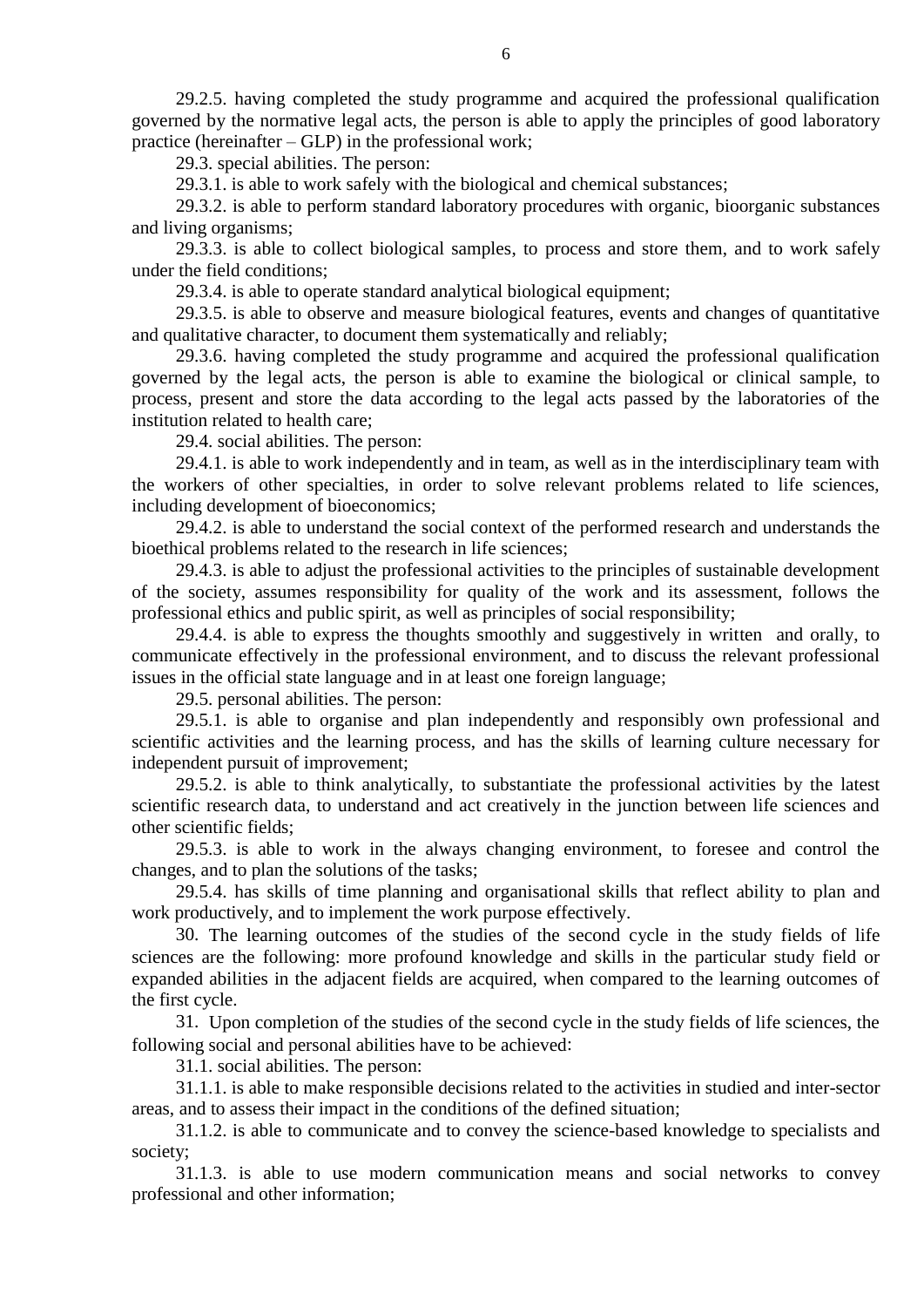29.2.5. having completed the study programme and acquired the professional qualification governed by the normative legal acts, the person is able to apply the principles of good laboratory practice (hereinafter – GLP) in the professional work;

29.3. special abilities. The person:

29.3.1. is able to work safely with the biological and chemical substances;

29.3.2. is able to perform standard laboratory procedures with organic, bioorganic substances and living organisms;

29.3.3. is able to collect biological samples, to process and store them, and to work safely under the field conditions;

29.3.4. is able to operate standard analytical biological equipment;

29.3.5. is able to observe and measure biological features, events and changes of quantitative and qualitative character, to document them systematically and reliably;

29.3.6. having completed the study programme and acquired the professional qualification governed by the legal acts, the person is able to examine the biological or clinical sample, to process, present and store the data according to the legal acts passed by the laboratories of the institution related to health care;

29.4. social abilities. The person:

29.4.1. is able to work independently and in team, as well as in the interdisciplinary team with the workers of other specialties, in order to solve relevant problems related to life sciences, including development of bioeconomics;

29.4.2. is able to understand the social context of the performed research and understands the bioethical problems related to the research in life sciences;

29.4.3. is able to adjust the professional activities to the principles of sustainable development of the society, assumes responsibility for quality of the work and its assessment, follows the professional ethics and public spirit, as well as principles of social responsibility;

29.4.4. is able to express the thoughts smoothly and suggestively in written and orally, to communicate effectively in the professional environment, and to discuss the relevant professional issues in the official state language and in at least one foreign language;

29.5. personal abilities. The person:

29.5.1. is able to organise and plan independently and responsibly own professional and scientific activities and the learning process, and has the skills of learning culture necessary for independent pursuit of improvement;

29.5.2. is able to think analytically, to substantiate the professional activities by the latest scientific research data, to understand and act creatively in the junction between life sciences and other scientific fields;

29.5.3. is able to work in the always changing environment, to foresee and control the changes, and to plan the solutions of the tasks;

29.5.4. has skills of time planning and organisational skills that reflect ability to plan and work productively, and to implement the work purpose effectively.

30. The learning outcomes of the studies of the second cycle in the study fields of life sciences are the following: more profound knowledge and skills in the particular study field or expanded abilities in the adjacent fields are acquired, when compared to the learning outcomes of the first cycle.

31. Upon completion of the studies of the second cycle in the study fields of life sciences, the following social and personal abilities have to be achieved:

31.1. social abilities. The person:

31.1.1. is able to make responsible decisions related to the activities in studied and inter-sector areas, and to assess their impact in the conditions of the defined situation;

31.1.2. is able to communicate and to convey the science-based knowledge to specialists and society;

31.1.3. is able to use modern communication means and social networks to convey professional and other information;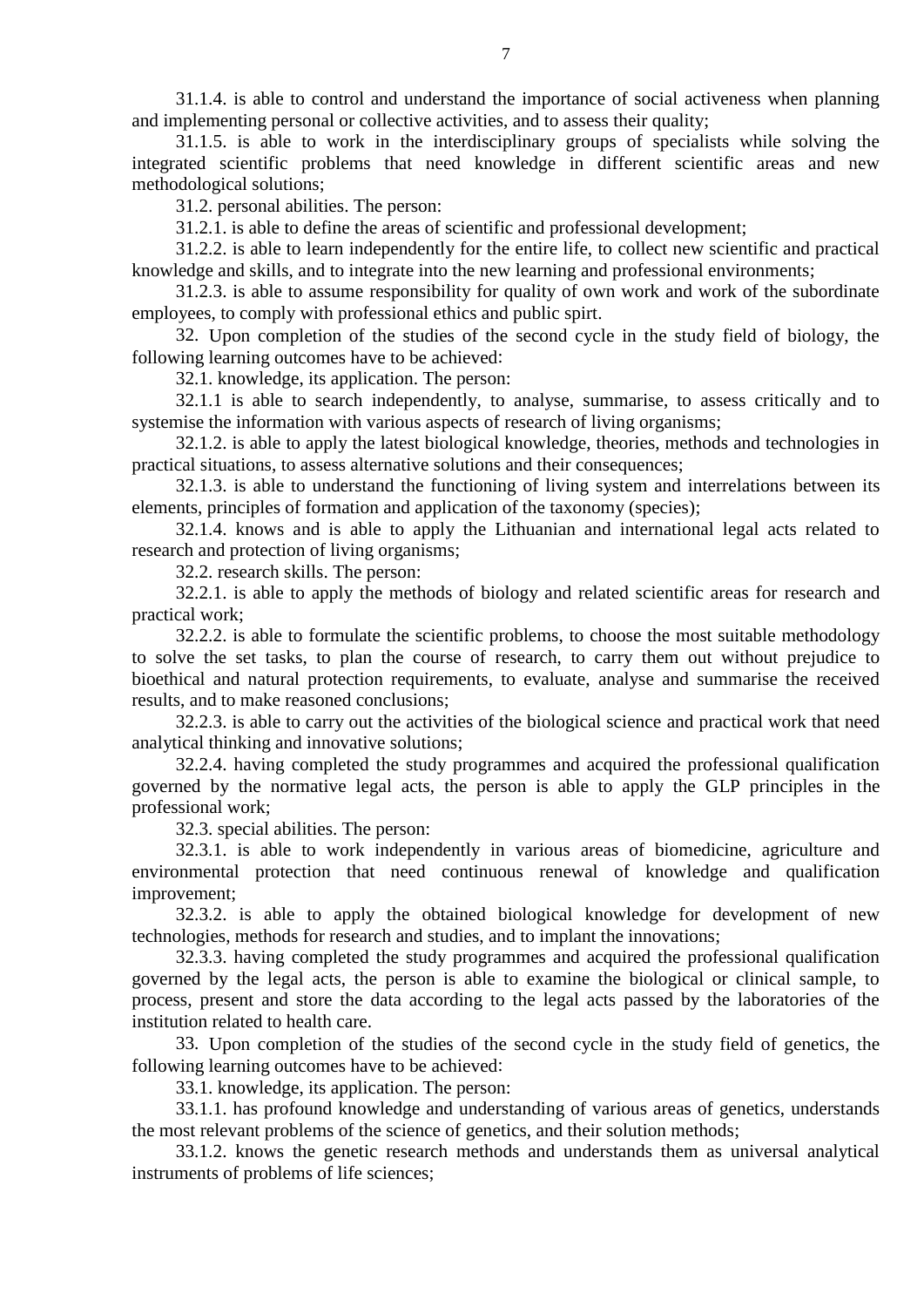31.1.4. is able to control and understand the importance of social activeness when planning and implementing personal or collective activities, and to assess their quality;

31.1.5. is able to work in the interdisciplinary groups of specialists while solving the integrated scientific problems that need knowledge in different scientific areas and new methodological solutions;

31.2. personal abilities. The person:

31.2.1. is able to define the areas of scientific and professional development;

31.2.2. is able to learn independently for the entire life, to collect new scientific and practical knowledge and skills, and to integrate into the new learning and professional environments;

31.2.3. is able to assume responsibility for quality of own work and work of the subordinate employees, to comply with professional ethics and public spirt.

32. Upon completion of the studies of the second cycle in the study field of biology, the following learning outcomes have to be achieved:

32.1. knowledge, its application. The person:

32.1.1 is able to search independently, to analyse, summarise, to assess critically and to systemise the information with various aspects of research of living organisms;

32.1.2. is able to apply the latest biological knowledge, theories, methods and technologies in practical situations, to assess alternative solutions and their consequences;

32.1.3. is able to understand the functioning of living system and interrelations between its elements, principles of formation and application of the taxonomy (species);

32.1.4. knows and is able to apply the Lithuanian and international legal acts related to research and protection of living organisms;

32.2. research skills. The person:

32.2.1. is able to apply the methods of biology and related scientific areas for research and practical work;

32.2.2. is able to formulate the scientific problems, to choose the most suitable methodology to solve the set tasks, to plan the course of research, to carry them out without prejudice to bioethical and natural protection requirements, to evaluate, analyse and summarise the received results, and to make reasoned conclusions;

32.2.3. is able to carry out the activities of the biological science and practical work that need analytical thinking and innovative solutions;

32.2.4. having completed the study programmes and acquired the professional qualification governed by the normative legal acts, the person is able to apply the GLP principles in the professional work;

32.3. special abilities. The person:

32.3.1. is able to work independently in various areas of biomedicine, agriculture and environmental protection that need continuous renewal of knowledge and qualification improvement;

32.3.2. is able to apply the obtained biological knowledge for development of new technologies, methods for research and studies, and to implant the innovations;

32.3.3. having completed the study programmes and acquired the professional qualification governed by the legal acts, the person is able to examine the biological or clinical sample, to process, present and store the data according to the legal acts passed by the laboratories of the institution related to health care.

33. Upon completion of the studies of the second cycle in the study field of genetics, the following learning outcomes have to be achieved:

33.1. knowledge, its application. The person:

33.1.1. has profound knowledge and understanding of various areas of genetics, understands the most relevant problems of the science of genetics, and their solution methods;

33.1.2. knows the genetic research methods and understands them as universal analytical instruments of problems of life sciences;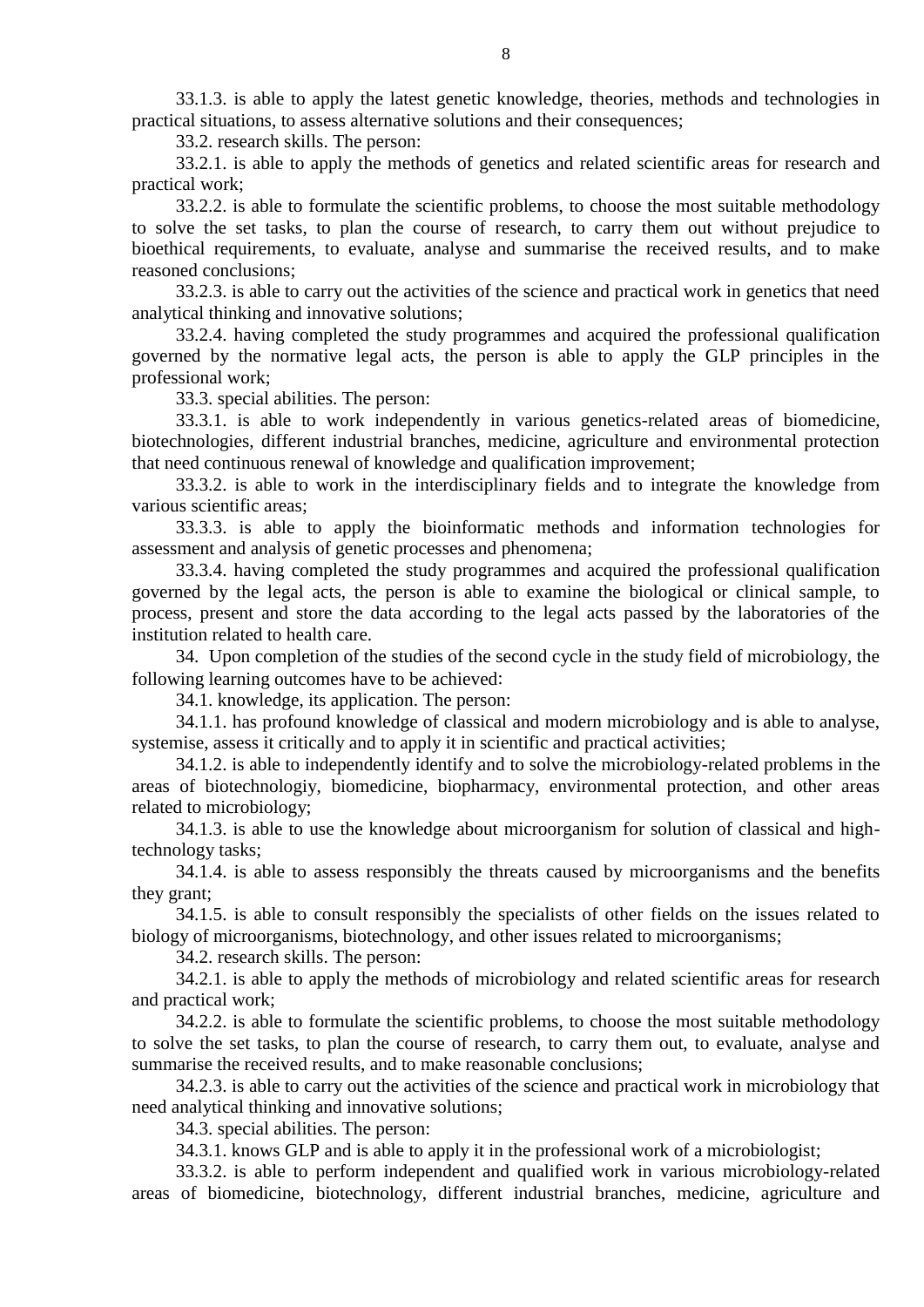33.1.3. is able to apply the latest genetic knowledge, theories, methods and technologies in practical situations, to assess alternative solutions and their consequences;

33.2. research skills. The person:

33.2.1. is able to apply the methods of genetics and related scientific areas for research and practical work;

33.2.2. is able to formulate the scientific problems, to choose the most suitable methodology to solve the set tasks, to plan the course of research, to carry them out without prejudice to bioethical requirements, to evaluate, analyse and summarise the received results, and to make reasoned conclusions;

33.2.3. is able to carry out the activities of the science and practical work in genetics that need analytical thinking and innovative solutions;

33.2.4. having completed the study programmes and acquired the professional qualification governed by the normative legal acts, the person is able to apply the GLP principles in the professional work;

33.3. special abilities. The person:

33.3.1. is able to work independently in various genetics-related areas of biomedicine, biotechnologies, different industrial branches, medicine, agriculture and environmental protection that need continuous renewal of knowledge and qualification improvement;

33.3.2. is able to work in the interdisciplinary fields and to integrate the knowledge from various scientific areas;

33.3.3. is able to apply the bioinformatic methods and information technologies for assessment and analysis of genetic processes and phenomena;

33.3.4. having completed the study programmes and acquired the professional qualification governed by the legal acts, the person is able to examine the biological or clinical sample, to process, present and store the data according to the legal acts passed by the laboratories of the institution related to health care.

34. Upon completion of the studies of the second cycle in the study field of microbiology, the following learning outcomes have to be achieved:

34.1. knowledge, its application. The person:

34.1.1. has profound knowledge of classical and modern microbiology and is able to analyse, systemise, assess it critically and to apply it in scientific and practical activities;

34.1.2. is able to independently identify and to solve the microbiology-related problems in the areas of biotechnologiy, biomedicine, biopharmacy, environmental protection, and other areas related to microbiology;

34.1.3. is able to use the knowledge about microorganism for solution of classical and hightechnology tasks;

34.1.4. is able to assess responsibly the threats caused by microorganisms and the benefits they grant;

34.1.5. is able to consult responsibly the specialists of other fields on the issues related to biology of microorganisms, biotechnology, and other issues related to microorganisms;

34.2. research skills. The person:

34.2.1. is able to apply the methods of microbiology and related scientific areas for research and practical work;

34.2.2. is able to formulate the scientific problems, to choose the most suitable methodology to solve the set tasks, to plan the course of research, to carry them out, to evaluate, analyse and summarise the received results, and to make reasonable conclusions;

34.2.3. is able to carry out the activities of the science and practical work in microbiology that need analytical thinking and innovative solutions;

34.3. special abilities. The person:

34.3.1. knows GLP and is able to apply it in the professional work of a microbiologist;

33.3.2. is able to perform independent and qualified work in various microbiology-related areas of biomedicine, biotechnology, different industrial branches, medicine, agriculture and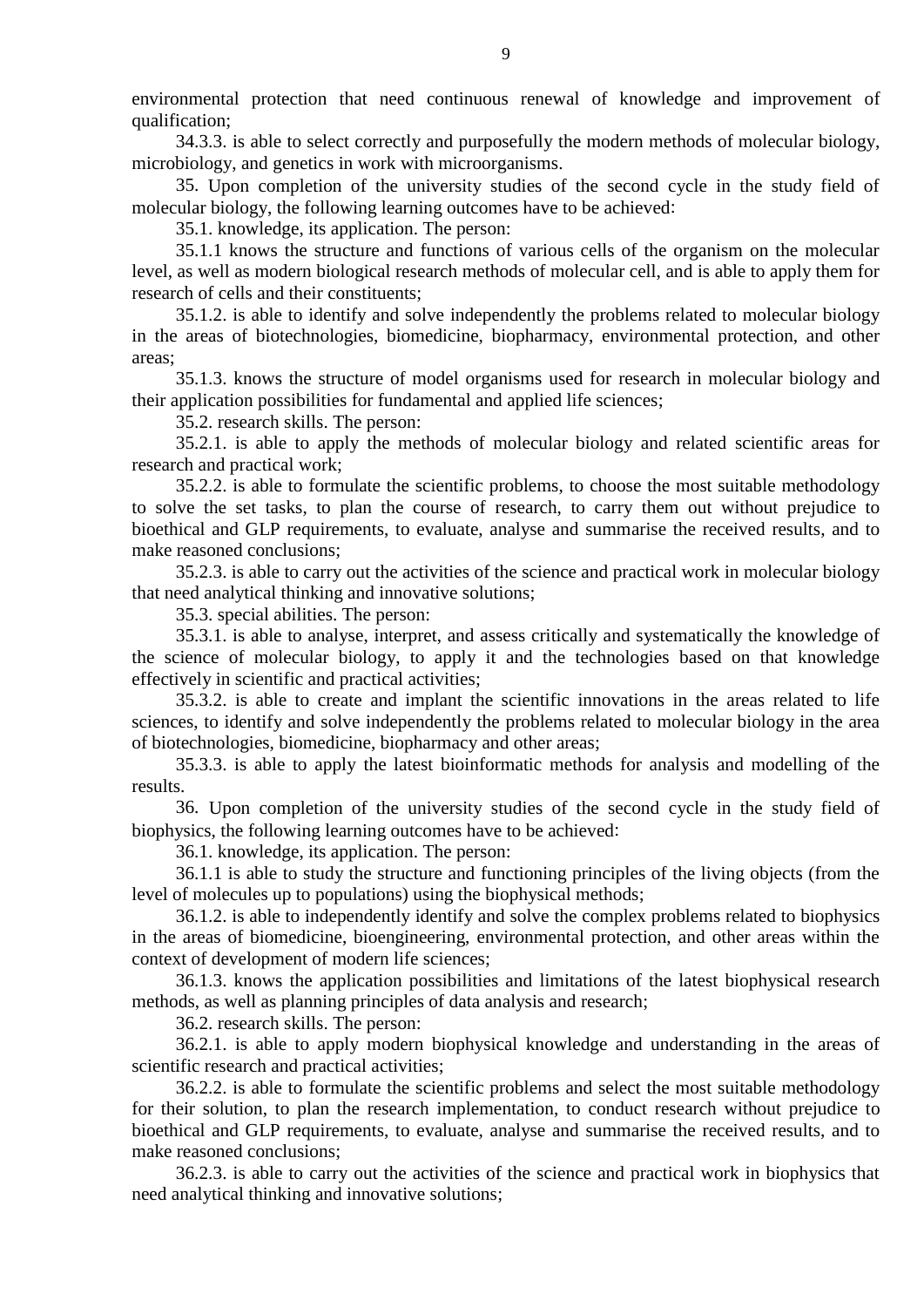environmental protection that need continuous renewal of knowledge and improvement of qualification;

34.3.3. is able to select correctly and purposefully the modern methods of molecular biology, microbiology, and genetics in work with microorganisms.

35. Upon completion of the university studies of the second cycle in the study field of molecular biology, the following learning outcomes have to be achieved:

35.1. knowledge, its application. The person:

35.1.1 knows the structure and functions of various cells of the organism on the molecular level, as well as modern biological research methods of molecular cell, and is able to apply them for research of cells and their constituents;

35.1.2. is able to identify and solve independently the problems related to molecular biology in the areas of biotechnologies, biomedicine, biopharmacy, environmental protection, and other areas;

35.1.3. knows the structure of model organisms used for research in molecular biology and their application possibilities for fundamental and applied life sciences;

35.2. research skills. The person:

35.2.1. is able to apply the methods of molecular biology and related scientific areas for research and practical work;

35.2.2. is able to formulate the scientific problems, to choose the most suitable methodology to solve the set tasks, to plan the course of research, to carry them out without prejudice to bioethical and GLP requirements, to evaluate, analyse and summarise the received results, and to make reasoned conclusions;

35.2.3. is able to carry out the activities of the science and practical work in molecular biology that need analytical thinking and innovative solutions;

35.3. special abilities. The person:

35.3.1. is able to analyse, interpret, and assess critically and systematically the knowledge of the science of molecular biology, to apply it and the technologies based on that knowledge effectively in scientific and practical activities;

35.3.2. is able to create and implant the scientific innovations in the areas related to life sciences, to identify and solve independently the problems related to molecular biology in the area of biotechnologies, biomedicine, biopharmacy and other areas;

35.3.3. is able to apply the latest bioinformatic methods for analysis and modelling of the results.

36. Upon completion of the university studies of the second cycle in the study field of biophysics, the following learning outcomes have to be achieved:

36.1. knowledge, its application. The person:

36.1.1 is able to study the structure and functioning principles of the living objects (from the level of molecules up to populations) using the biophysical methods;

36.1.2. is able to independently identify and solve the complex problems related to biophysics in the areas of biomedicine, bioengineering, environmental protection, and other areas within the context of development of modern life sciences;

36.1.3. knows the application possibilities and limitations of the latest biophysical research methods, as well as planning principles of data analysis and research;

36.2. research skills. The person:

36.2.1. is able to apply modern biophysical knowledge and understanding in the areas of scientific research and practical activities;

36.2.2. is able to formulate the scientific problems and select the most suitable methodology for their solution, to plan the research implementation, to conduct research without prejudice to bioethical and GLP requirements, to evaluate, analyse and summarise the received results, and to make reasoned conclusions;

36.2.3. is able to carry out the activities of the science and practical work in biophysics that need analytical thinking and innovative solutions;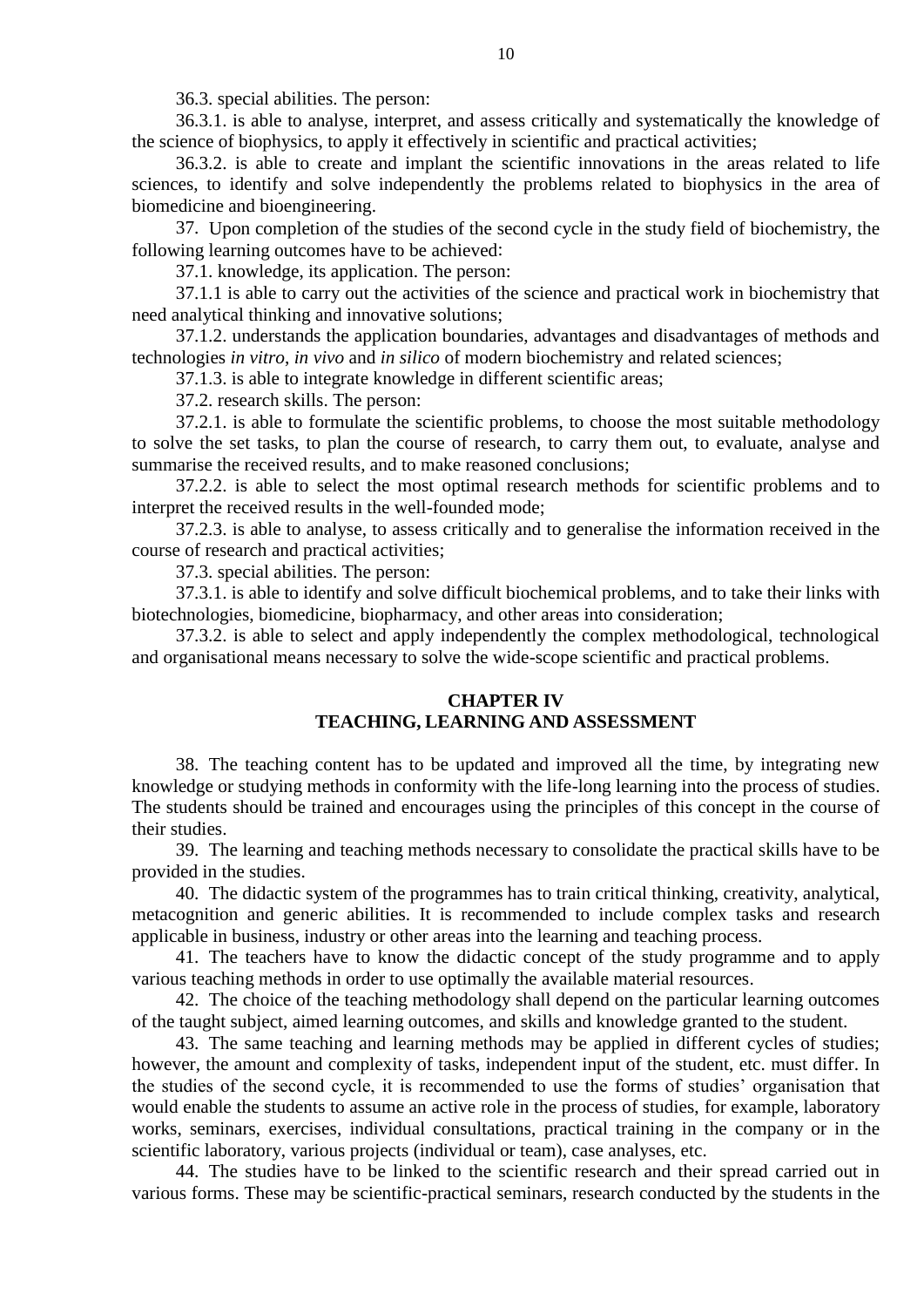36.3. special abilities. The person:

36.3.1. is able to analyse, interpret, and assess critically and systematically the knowledge of the science of biophysics, to apply it effectively in scientific and practical activities;

36.3.2. is able to create and implant the scientific innovations in the areas related to life sciences, to identify and solve independently the problems related to biophysics in the area of biomedicine and bioengineering.

37. Upon completion of the studies of the second cycle in the study field of biochemistry, the following learning outcomes have to be achieved:

37.1. knowledge, its application. The person:

37.1.1 is able to carry out the activities of the science and practical work in biochemistry that need analytical thinking and innovative solutions;

37.1.2. understands the application boundaries, advantages and disadvantages of methods and technologies *in vitro*, *in vivo* and *in silico* of modern biochemistry and related sciences;

37.1.3. is able to integrate knowledge in different scientific areas;

37.2. research skills. The person:

37.2.1. is able to formulate the scientific problems, to choose the most suitable methodology to solve the set tasks, to plan the course of research, to carry them out, to evaluate, analyse and summarise the received results, and to make reasoned conclusions;

37.2.2. is able to select the most optimal research methods for scientific problems and to interpret the received results in the well-founded mode;

37.2.3. is able to analyse, to assess critically and to generalise the information received in the course of research and practical activities;

37.3. special abilities. The person:

37.3.1. is able to identify and solve difficult biochemical problems, and to take their links with biotechnologies, biomedicine, biopharmacy, and other areas into consideration;

37.3.2. is able to select and apply independently the complex methodological, technological and organisational means necessary to solve the wide-scope scientific and practical problems.

### **CHAPTER IV**

## **TEACHING, LEARNING AND ASSESSMENT**

38. The teaching content has to be updated and improved all the time, by integrating new knowledge or studying methods in conformity with the life-long learning into the process of studies. The students should be trained and encourages using the principles of this concept in the course of their studies.

39. The learning and teaching methods necessary to consolidate the practical skills have to be provided in the studies.

40. The didactic system of the programmes has to train critical thinking, creativity, analytical, metacognition and generic abilities. It is recommended to include complex tasks and research applicable in business, industry or other areas into the learning and teaching process.

41. The teachers have to know the didactic concept of the study programme and to apply various teaching methods in order to use optimally the available material resources.

42. The choice of the teaching methodology shall depend on the particular learning outcomes of the taught subject, aimed learning outcomes, and skills and knowledge granted to the student.

43. The same teaching and learning methods may be applied in different cycles of studies; however, the amount and complexity of tasks, independent input of the student, etc. must differ. In the studies of the second cycle, it is recommended to use the forms of studies' organisation that would enable the students to assume an active role in the process of studies, for example, laboratory works, seminars, exercises, individual consultations, practical training in the company or in the scientific laboratory, various projects (individual or team), case analyses, etc.

44. The studies have to be linked to the scientific research and their spread carried out in various forms. These may be scientific-practical seminars, research conducted by the students in the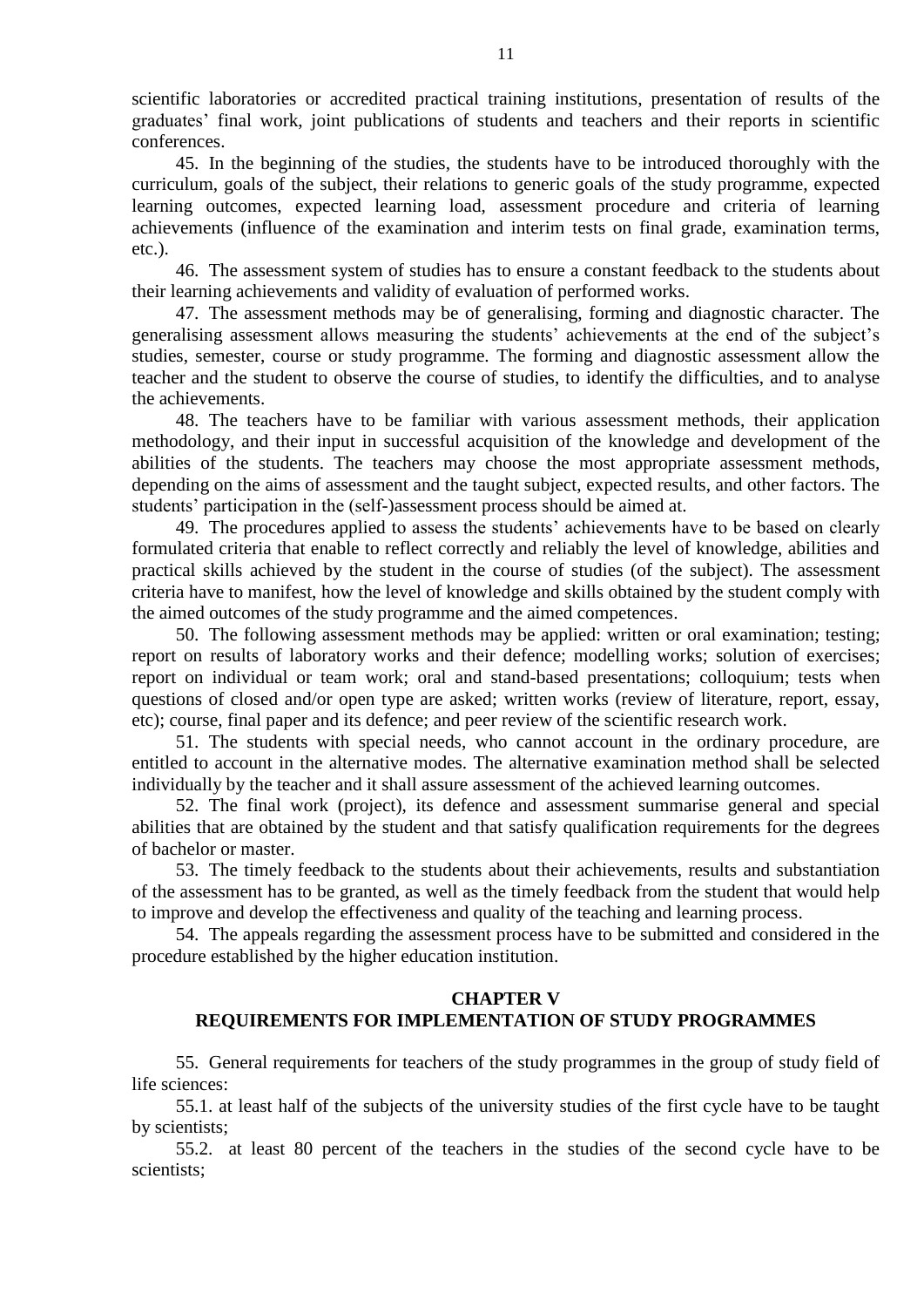scientific laboratories or accredited practical training institutions, presentation of results of the graduates' final work, joint publications of students and teachers and their reports in scientific conferences.

45. In the beginning of the studies, the students have to be introduced thoroughly with the curriculum, goals of the subject, their relations to generic goals of the study programme, expected learning outcomes, expected learning load, assessment procedure and criteria of learning achievements (influence of the examination and interim tests on final grade, examination terms, etc.).

46. The assessment system of studies has to ensure a constant feedback to the students about their learning achievements and validity of evaluation of performed works.

47. The assessment methods may be of generalising, forming and diagnostic character. The generalising assessment allows measuring the students' achievements at the end of the subject's studies, semester, course or study programme. The forming and diagnostic assessment allow the teacher and the student to observe the course of studies, to identify the difficulties, and to analyse the achievements.

48. The teachers have to be familiar with various assessment methods, their application methodology, and their input in successful acquisition of the knowledge and development of the abilities of the students. The teachers may choose the most appropriate assessment methods, depending on the aims of assessment and the taught subject, expected results, and other factors. The students' participation in the (self-)assessment process should be aimed at.

49. The procedures applied to assess the students' achievements have to be based on clearly formulated criteria that enable to reflect correctly and reliably the level of knowledge, abilities and practical skills achieved by the student in the course of studies (of the subject). The assessment criteria have to manifest, how the level of knowledge and skills obtained by the student comply with the aimed outcomes of the study programme and the aimed competences.

50. The following assessment methods may be applied: written or oral examination; testing; report on results of laboratory works and their defence; modelling works; solution of exercises; report on individual or team work; oral and stand-based presentations; colloquium; tests when questions of closed and/or open type are asked; written works (review of literature, report, essay, etc); course, final paper and its defence; and peer review of the scientific research work.

51. The students with special needs, who cannot account in the ordinary procedure, are entitled to account in the alternative modes. The alternative examination method shall be selected individually by the teacher and it shall assure assessment of the achieved learning outcomes.

52. The final work (project), its defence and assessment summarise general and special abilities that are obtained by the student and that satisfy qualification requirements for the degrees of bachelor or master.

53. The timely feedback to the students about their achievements, results and substantiation of the assessment has to be granted, as well as the timely feedback from the student that would help to improve and develop the effectiveness and quality of the teaching and learning process.

54. The appeals regarding the assessment process have to be submitted and considered in the procedure established by the higher education institution.

### **CHAPTER V**

## **REQUIREMENTS FOR IMPLEMENTATION OF STUDY PROGRAMMES**

55. General requirements for teachers of the study programmes in the group of study field of life sciences:

55.1. at least half of the subjects of the university studies of the first cycle have to be taught by scientists;

55.2. at least 80 percent of the teachers in the studies of the second cycle have to be scientists;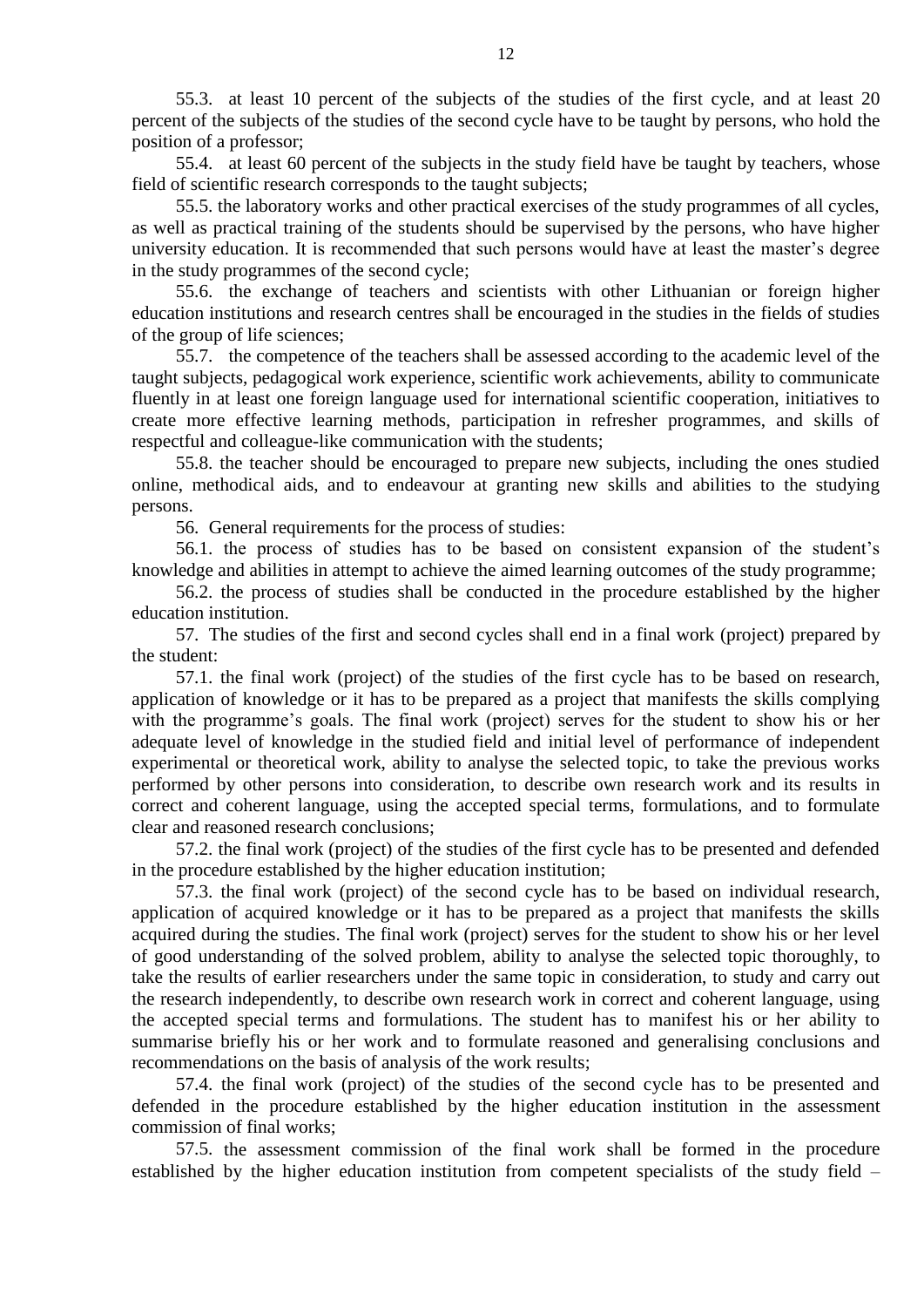55.3. at least 10 percent of the subjects of the studies of the first cycle, and at least 20 percent of the subjects of the studies of the second cycle have to be taught by persons, who hold the position of a professor;

55.4. at least 60 percent of the subjects in the study field have be taught by teachers, whose field of scientific research corresponds to the taught subjects;

55.5. the laboratory works and other practical exercises of the study programmes of all cycles, as well as practical training of the students should be supervised by the persons, who have higher university education. It is recommended that such persons would have at least the master's degree in the study programmes of the second cycle;

55.6. the exchange of teachers and scientists with other Lithuanian or foreign higher education institutions and research centres shall be encouraged in the studies in the fields of studies of the group of life sciences;

55.7. the competence of the teachers shall be assessed according to the academic level of the taught subjects, pedagogical work experience, scientific work achievements, ability to communicate fluently in at least one foreign language used for international scientific cooperation, initiatives to create more effective learning methods, participation in refresher programmes, and skills of respectful and colleague-like communication with the students;

55.8. the teacher should be encouraged to prepare new subjects, including the ones studied online, methodical aids, and to endeavour at granting new skills and abilities to the studying persons.

56. General requirements for the process of studies:

56.1. the process of studies has to be based on consistent expansion of the student's knowledge and abilities in attempt to achieve the aimed learning outcomes of the study programme;

56.2. the process of studies shall be conducted in the procedure established by the higher education institution.

57. The studies of the first and second cycles shall end in a final work (project) prepared by the student:

57.1. the final work (project) of the studies of the first cycle has to be based on research, application of knowledge or it has to be prepared as a project that manifests the skills complying with the programme's goals. The final work (project) serves for the student to show his or her adequate level of knowledge in the studied field and initial level of performance of independent experimental or theoretical work, ability to analyse the selected topic, to take the previous works performed by other persons into consideration, to describe own research work and its results in correct and coherent language, using the accepted special terms, formulations, and to formulate clear and reasoned research conclusions;

57.2. the final work (project) of the studies of the first cycle has to be presented and defended in the procedure established by the higher education institution;

57.3. the final work (project) of the second cycle has to be based on individual research, application of acquired knowledge or it has to be prepared as a project that manifests the skills acquired during the studies. The final work (project) serves for the student to show his or her level of good understanding of the solved problem, ability to analyse the selected topic thoroughly, to take the results of earlier researchers under the same topic in consideration, to study and carry out the research independently, to describe own research work in correct and coherent language, using the accepted special terms and formulations. The student has to manifest his or her ability to summarise briefly his or her work and to formulate reasoned and generalising conclusions and recommendations on the basis of analysis of the work results;

57.4. the final work (project) of the studies of the second cycle has to be presented and defended in the procedure established by the higher education institution in the assessment commission of final works;

57.5. the assessment commission of the final work shall be formed in the procedure established by the higher education institution from competent specialists of the study field –